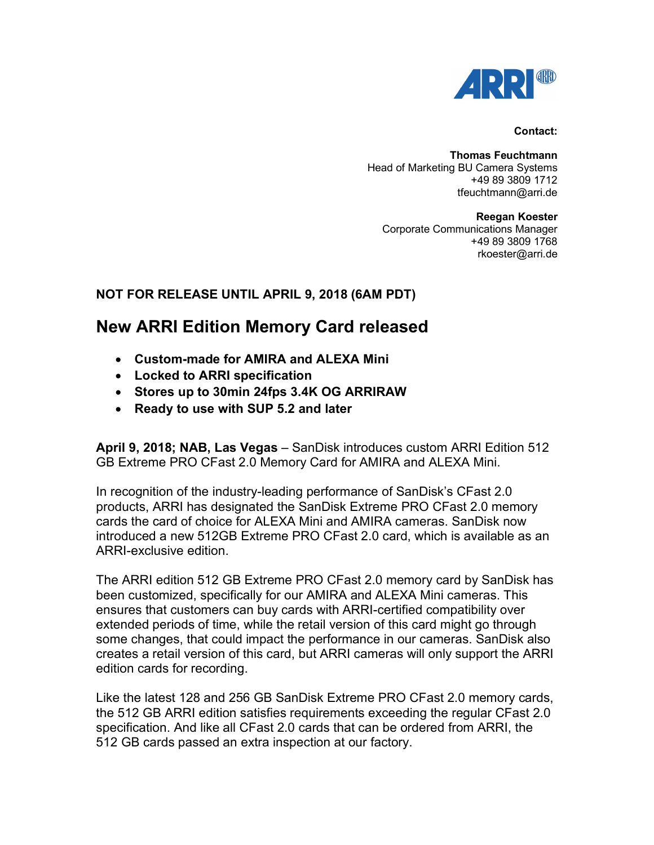

#### **Contact:**

**Thomas Feuchtmann** Head of Marketing BU Camera Systems +49 89 3809 1712 tfeuchtmann@arri.de

**Reegan Koester** Corporate Communications Manager +49 89 3809 1768 rkoester@arri.de

## **NOT FOR RELEASE UNTIL APRIL 9, 2018 (6AM PDT)**

# **New ARRI Edition Memory Card released**

- **Custom-made for AMIRA and ALEXA Mini**
- **Locked to ARRI specification**
- **Stores up to 30min 24fps 3.4K OG ARRIRAW**
- **Ready to use with SUP 5.2 and later**

**April 9, 2018; NAB, Las Vegas** – SanDisk introduces custom ARRI Edition 512 GB Extreme PRO CFast 2.0 Memory Card for AMIRA and ALEXA Mini.

In recognition of the industry-leading performance of SanDisk's CFast 2.0 products, ARRI has designated the SanDisk Extreme PRO CFast 2.0 memory cards the card of choice for ALEXA Mini and AMIRA cameras. SanDisk now introduced a new 512GB Extreme PRO CFast 2.0 card, which is available as an ARRI-exclusive edition.

The ARRI edition 512 GB Extreme PRO CFast 2.0 memory card by SanDisk has been customized, specifically for our AMIRA and ALEXA Mini cameras. This ensures that customers can buy cards with ARRI-certified compatibility over extended periods of time, while the retail version of this card might go through some changes, that could impact the performance in our cameras. SanDisk also creates a retail version of this card, but ARRI cameras will only support the ARRI edition cards for recording.

Like the latest 128 and 256 GB SanDisk Extreme PRO CFast 2.0 memory cards, the 512 GB ARRI edition satisfies requirements exceeding the regular CFast 2.0 specification. And like all CFast 2.0 cards that can be ordered from ARRI, the 512 GB cards passed an extra inspection at our factory.